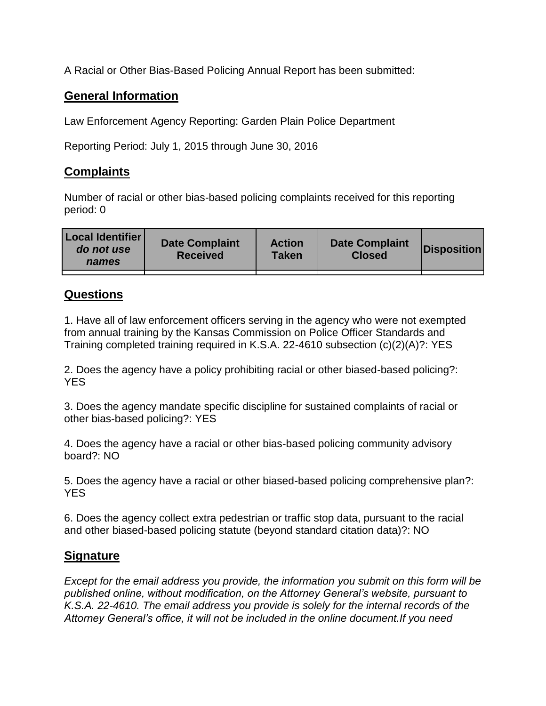A Racial or Other Bias-Based Policing Annual Report has been submitted:

## **General Information**

Law Enforcement Agency Reporting: Garden Plain Police Department

Reporting Period: July 1, 2015 through June 30, 2016

## **Complaints**

Number of racial or other bias-based policing complaints received for this reporting period: 0

| <b>Local Identifier</b><br>do not use<br>names | <b>Date Complaint</b><br><b>Received</b> | <b>Action</b><br><b>Taken</b> | <b>Date Complaint</b><br><b>Closed</b> | Disposition |
|------------------------------------------------|------------------------------------------|-------------------------------|----------------------------------------|-------------|
|                                                |                                          |                               |                                        |             |

## **Questions**

1. Have all of law enforcement officers serving in the agency who were not exempted from annual training by the Kansas Commission on Police Officer Standards and Training completed training required in K.S.A. 22-4610 subsection (c)(2)(A)?: YES

2. Does the agency have a policy prohibiting racial or other biased-based policing?: YES

3. Does the agency mandate specific discipline for sustained complaints of racial or other bias-based policing?: YES

4. Does the agency have a racial or other bias-based policing community advisory board?: NO

5. Does the agency have a racial or other biased-based policing comprehensive plan?: YES

6. Does the agency collect extra pedestrian or traffic stop data, pursuant to the racial and other biased-based policing statute (beyond standard citation data)?: NO

## **Signature**

*Except for the email address you provide, the information you submit on this form will be published online, without modification, on the Attorney General's website, pursuant to K.S.A. 22-4610. The email address you provide is solely for the internal records of the Attorney General's office, it will not be included in the online document.If you need*